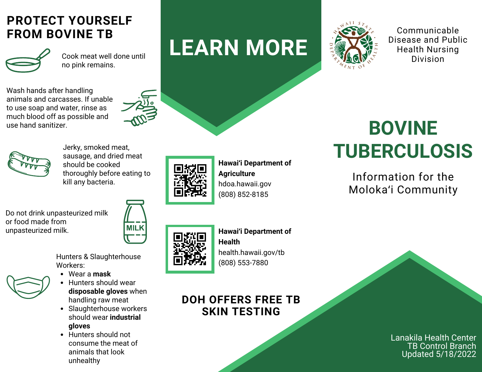## **PROTECT YOURSELF FROM BOVINE TB**



Cook meat well done until no pink remains.

Wash hands after handling animals and carcasses. If unable to use soap and water, rinse as much blood off as possible and use hand sanitizer.





Jerky, smoked meat, sausage, and dried meat should be cooked thoroughly before eating to kill any bacteria.

Do not drink unpasteurized milk or food made from unpasteurized milk.



Hunters & Slaughterhouse Workers:

- Wear a **mask**
- Hunters should wear **disposable gloves** when handling raw meat
- Slaughterhouse workers should wear **industrial gloves**
- Hunters should not consume the meat of animals that look unhealthy



**Hawaiʻi Department of Agriculture** hdoa.hawaii.gov (808) 852-8185

**LEARN MORE**



**Hawaiʻi Department of Health** [health.hawaii.gov/tb](https://health.hawaii.gov/tb) (808) 553-7880

## **DOH OFFERS FREE TB SKIN TESTING**



Communicable Disease and Public Health Nursing Division

# **BOVINE TUBERCULOSIS**

Information for the Molokaʻi Community

> Lanakila Health Center **TB Control Branch** Updated 5/18/2022